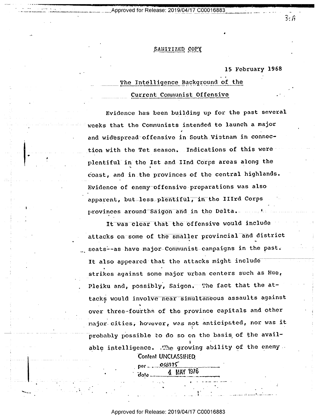Approved for Release: 2019/04/17 C00016883

## SANITIZED COPY

## 15 February 1968

## The Intelligence Background of the Current Communist Offensive

Evidence has been building up for the past several weeks that the Communists intended to launch a major and widespread-offensive in South Vietnam in connection with the Tet season. Indications of this were plentiful in the Ist and IInd Corps areas along the coast, and in the provinces of the central highlands. Evidence of enemy offensive preparations was also apparent, but less plentiful, in the IIIrd Corps provinces around Saigon and in the Delta.

It was clear that the offensive would include attacks on some of the smaller provincial and district ... seats--as have major-Communist campaigns in the past. It also appeared that the attacks might include strikes against some major urban centers such as Hue, Pleiku and, possibly, Saigon. The fact that the attacks would involve near simultaneous assaults against over three-fourths of the province capitals and other major cities, hovever, was not anticipated, nor was it probably possible to do so on the basis of the available intelligence. The growing ability of the enemy . Content UNCLASSIFIED

> 4 MAY 1976 date

Approved for Release: 2019/04/17 C00016883

 $3:$   $\hat{h}$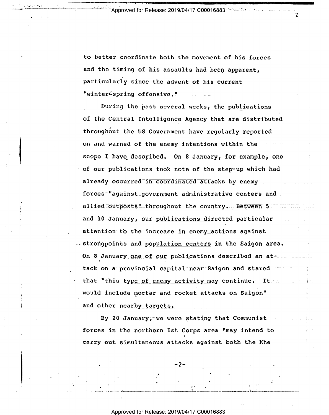Approved for Release: 2019/04/17 C00016883~>>>>>

Z

to better coordinate both the movement of his forces and the timing of his assaults had been apparent, particularly since the advent of his current "winter<sup>4</sup>spring offensive."

During the past several weeks, the publications of the Central Intelligence Agency that are distributed throughout the US Government have regularly reported on and warned of the enemy intentions within thescope I have described. On 8 January, for example, one of our publications took note of the stepwup which had already occurred in coordinated attacks by enemy forces "against government administrative centers and allied outposts" throughout the country. Between 5 and 10 January, our publications directed particular publications attention to the increase in enemy actions against ... strongpoints and population centers in the Saigon area. On 8 January one of our publications described an attack on a provincial capital near Saigon and stated  $^{\circ}$ that "this type of enemy activity may continue; It an interest in would include nortar and rocket attacks on Saigon" and other nearby targets,

By 20 January, we were stating that Communist forces in the northern Ist Corps area "may intend to ' I carry out simultaneous attacks against both the Khe

'

<sup>e</sup>e~.;~,..... \_\_.....\_\_ We <sup>e</sup>\_..'\_..~\_~\_-\_,...-.-\_...;,- -,r.\_-\_—.= ,.¢~\_,u...».,-.===-e----

 $\begin{array}{lcl} \bullet & \bullet & \bullet \\ \bullet & \bullet & \bullet & \bullet \end{array} \begin{array}{l} \bullet & \bullet & \bullet \\ \bullet & \bullet & \bullet & \bullet \end{array} \begin{array}{l} \bullet & \bullet & \bullet \\ \bullet & \bullet & \bullet & \bullet \end{array} \end{array} \begin{array}{l} \bullet & \bullet & \bullet \\ \bullet & \bullet & \bullet & \bullet \end{array}$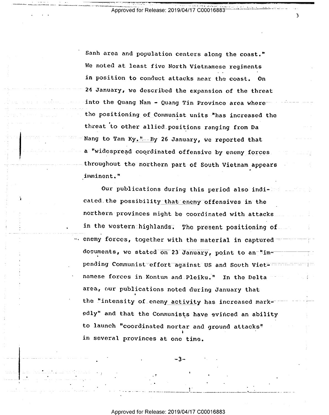Approved for Release: 2019/04/17 C00016883

٦,

Sanh area and population centers along the coast." We noted at least five North Vietnamese regiments in position to conduct attacks near the coast. On 24 January, we described the expansion of the threat into the Quang Nam - Quang Tin Province area where the positioning of Communist units "has increased the threat to other allied positions ranging from Da Nang to Tam Ky. - By 26 January, we reported that a "widespread coordinated offensive by enemy forces. throughout the northern part of South Vietnam appears imminent."

Our publications during this period also indicated the possibility that enemy offensives in the northern provinces might be coordinated with attacks. in the western highlands. The present positioning of. enemy forces, together with the material in captured documents, we stated on 23 January, point to an-"impending Communist effort against US and South Vietnamese forces in Kontum and Pleiku." In the Delta area, our publications noted during January that the "intensity of enemy activity has increased markedly" and that the Communists have evinced an ability to launch "coordinated mortar and ground attacks" in several provinces at one time.

Approved for Release: 2019/04/17 C00016883

-3-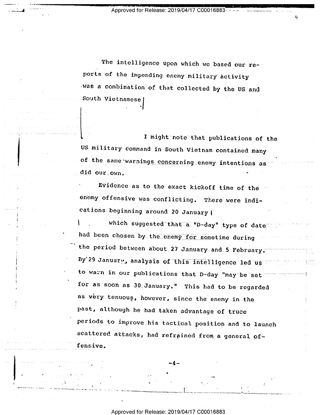Approved for Release: 2019/04/17 C000

 $\mathbf{4}$ 

~ |

 $\ddotsc$ 

-

The intelligence upon which we based our re-' ports of the impending enemy military activity was a combination of that collected by the US and South Vietnamese

I might note that publications of the US military command in South Vietnam contained many of the same warnings concerning\_enemy intentions as did our\_own.

Evidence as to the exact kickoff time of the \* enemy offensive was conflicting. There were indications beginning around 20 January |

which suggested that a "D-day" type of date which is a had been chosen by the enemy for sometime during \*\*\*\*\*\*\*\*\*\*\*\*\*\*\*\*\*\*\*\*\*\*\*\*\*\*\*\*\*\*\* the period between about 27 January and\_5 February. By'29 January, analysis of this intelligence led us  $\square$ to warn in our publications that D-day "may be set for as soon as 30\_January." This had to be regarded as very tenuous, however, since the enemy in the past, although he had taken advantage of truce periods to improve his tactical position and to launch scattered attacks, had refrained from a general offensive.

Approved for Release: 2019/04/17 C00016883

 $\sim$  , and the second construction of the second construction of  $\sim$  . The second construction of the second construction of the second construction of the second construction of the second construction of the second con

 $-4$  -